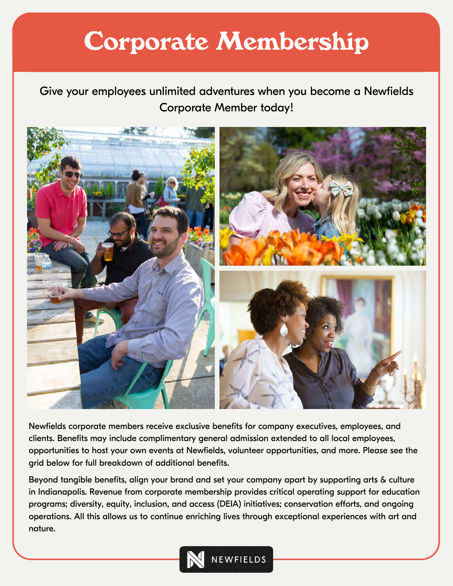## **Corporate Membership**

Give your employees unlimited adventures when you become a Newfields Corporate Member today!



Newfields corporate members receive exclusive benefits for company executives, employees, and clients. Benefits may include complimentary general admission extended to all local employees, opportunities to host your own events at Newfields, volunteer opportunities, and more. Please see the grid below for full breakdown of additional benefits.

Beyond tangible benefits, align your brand and set your company apart by supporting arts & culture in Indianapolis. Revenue from corporate membership provides critical operating support for education programs; diversity, equity, inclusion, and access (DEIA) initiatives; conservation efforts, and ongoing operations. All this allows us to continue enriching lives through exceptional experiences with art and nature.